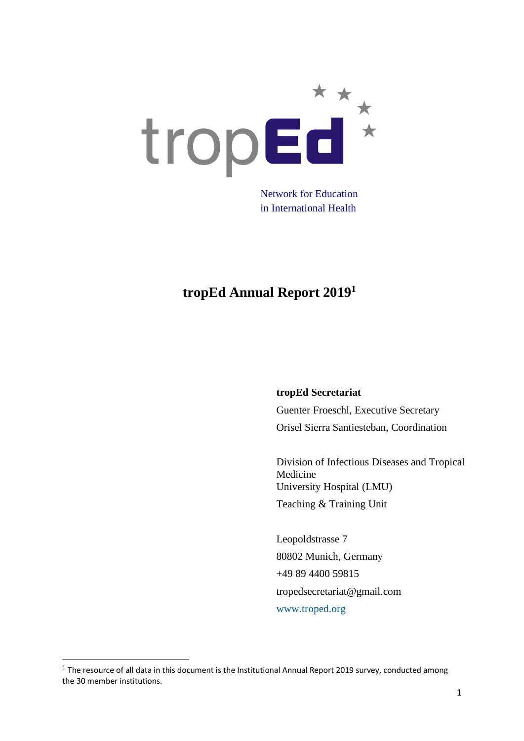

Network for Education in International Health

## **tropEd Annual Report 2019<sup>1</sup>**

#### **tropEd Secretariat**

Guenter Froeschl, Executive Secretary Orisel Sierra Santiesteban, Coordination

Division of Infectious Diseases and Tropical Medicine University Hospital (LMU) Teaching & Training Unit

Leopoldstrasse 7 80802 Munich, Germany +49 89 4400 59815 tropedsecretariat@gmail.com [www.troped.org](about:blank)

 $<sup>1</sup>$  The resource of all data in this document is the Institutional Annual Report 2019 survey, conducted among</sup> the 30 member institutions.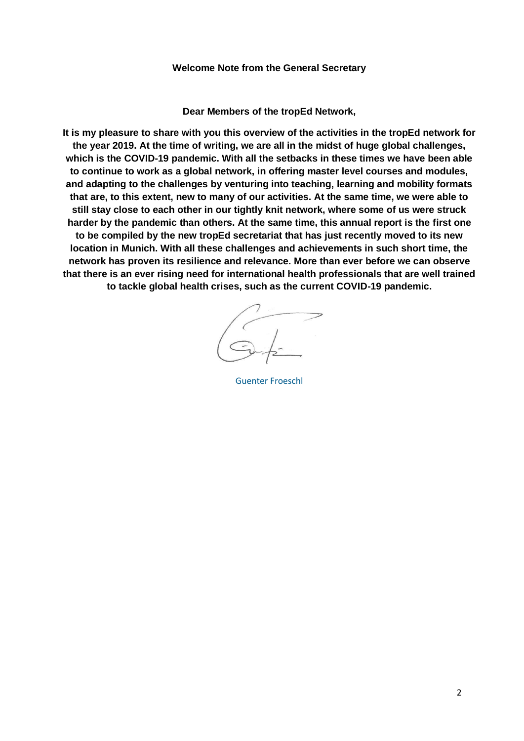#### **Welcome Note from the General Secretary**

**Dear Members of the tropEd Network,**

**It is my pleasure to share with you this overview of the activities in the tropEd network for the year 2019. At the time of writing, we are all in the midst of huge global challenges, which is the COVID-19 pandemic. With all the setbacks in these times we have been able to continue to work as a global network, in offering master level courses and modules, and adapting to the challenges by venturing into teaching, learning and mobility formats that are, to this extent, new to many of our activities. At the same time, we were able to still stay close to each other in our tightly knit network, where some of us were struck harder by the pandemic than others. At the same time, this annual report is the first one to be compiled by the new tropEd secretariat that has just recently moved to its new location in Munich. With all these challenges and achievements in such short time, the network has proven its resilience and relevance. More than ever before we can observe that there is an ever rising need for international health professionals that are well trained to tackle global health crises, such as the current COVID-19 pandemic.**

[Guenter](https://dict.leo.org/englisch-deutsch/signature) Froeschl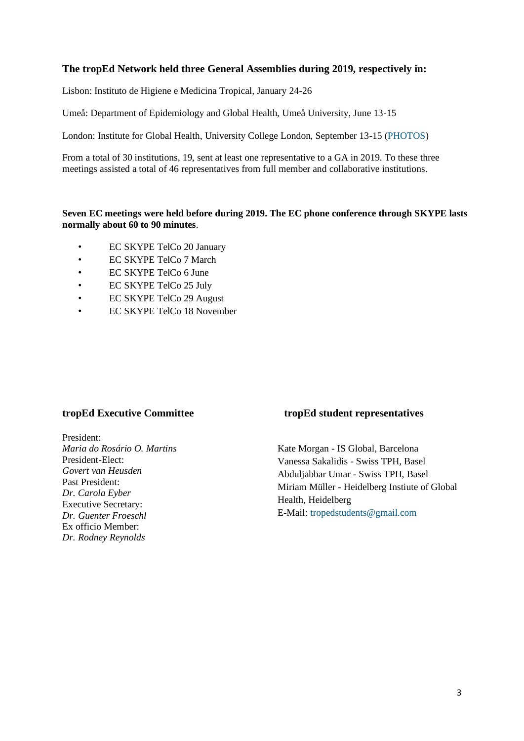#### **The tropEd Network held three General Assemblies during 2019, respectively in:**

Lisbon: Instituto de Higiene e Medicina Tropical, January 24-26

Umeå: Department of Epidemiology and Global Health, Umeå University, June 13-15

London: Institute for Global Health, University College London, September 13-15 [\(PHOTOS\)](https://drive.google.com/drive/folders/16mPqcIRZ0KCvzAvsbQzfY30AwxeA3yaz?usp=sharing)

From a total of 30 institutions, 19, sent at least one representative to a GA in 2019. To these three meetings assisted a total of 46 representatives from full member and collaborative institutions.

#### **Seven EC meetings were held before during 2019. The EC phone conference through SKYPE lasts normally about 60 to 90 minutes**.

- EC SKYPE TelCo 20 January
- EC SKYPE TelCo 7 March
- EC SKYPE TelCo 6 June
- EC SKYPE TelCo 25 July
- EC SKYPE TelCo 29 August
- EC SKYPE TelCo 18 November

President: *Maria do Rosário O. Martins* President-Elect: *Govert van Heusden* Past President: *Dr. Carola Eyber* Executive Secretary: *[Dr.](http://www.troped.org/?q=node/67) Guenter Froeschl* Ex officio Member: *Dr. Rodney Reynolds*

#### **tropEd [Executive Committee](http://www.troped.org/?q=node/74) tropEd student representatives**

Kate Morgan - IS Global, Barcelona Vanessa Sakalidis - Swiss TPH, Basel Abduljabbar Umar - Swiss TPH, Basel Miriam Müller - Heidelberg Instiute of Global Health, Heidelberg E-Mail: [tropedstudents@gmail.com](mailto:tropedstudents@gmail.com)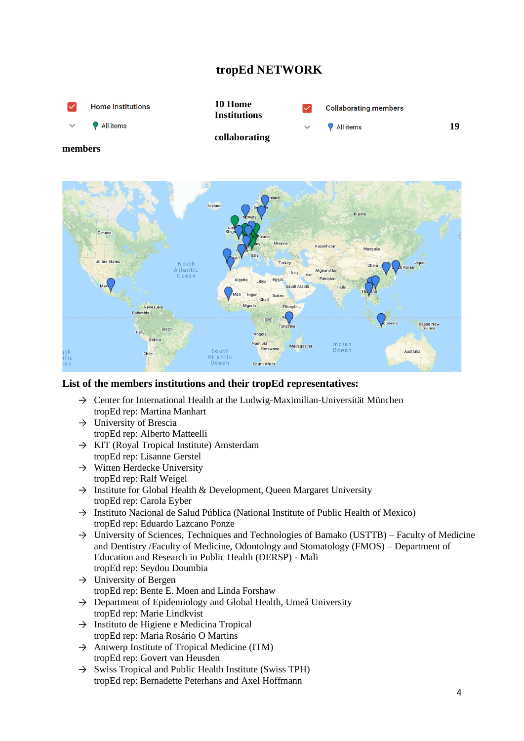### **tropEd NETWORK**



#### **List of the members institutions and their tropEd representatives:**

- $\rightarrow$  Center for International Health at the Ludwig-Maximilian-Universität München tropEd rep: Martina Manhart
- $\rightarrow$  University of Brescia tropEd rep: Alberto Matteelli
- $\rightarrow$  KIT (Royal Tropical Institute) Amsterdam tropEd rep: Lisanne Gerstel
- $\rightarrow$  Witten Herdecke University tropEd rep: Ralf Weigel
- $\rightarrow$  Institute for Global Health & Development, Queen Margaret University tropEd rep: Carola Eyber
- → Instituto Nacional de Salud Pública (National Institute of Public Health of Mexico) tropEd rep: Eduardo Lazcano Ponze
- $\rightarrow$  University of Sciences, Techniques and Technologies of Bamako (USTTB) Faculty of Medicine and Dentistry /Faculty of Medicine, Odontology and Stomatology (FMOS) – Department of Education and Research in Public Health (DERSP) - Mali tropEd rep: Seydou Doumbia
- $\rightarrow$  University of Bergen tropEd rep: Bente E. Moen and Linda Forshaw
- $\rightarrow$  Department of Epidemiology and Global Health, Umeå University tropEd rep: Marie Lindkvist
- $\rightarrow$  Instituto de Higiene e Medicina Tropical tropEd rep: Maria Rosário O Martins
- $\rightarrow$  Antwerp Institute of Tropical Medicine (ITM) tropEd rep: Govert van Heusden
- $\rightarrow$  Swiss Tropical and Public Health Institute (Swiss TPH) tropEd rep: Bernadette Peterhans and Axel Hoffmann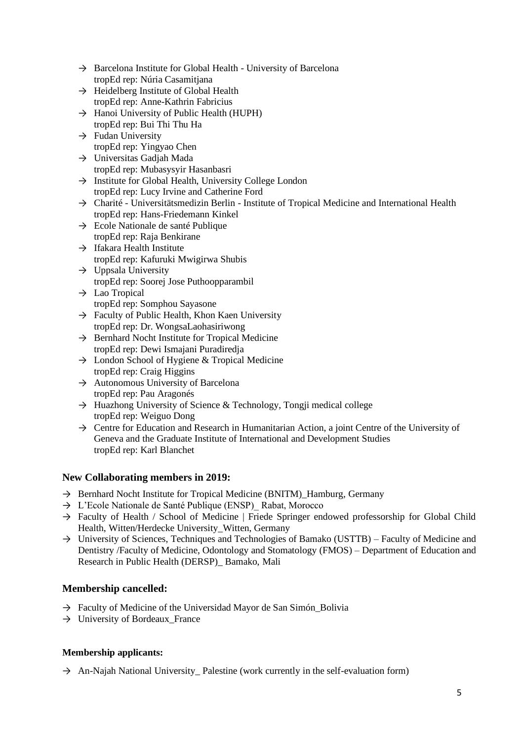- $\rightarrow$  Barcelona Institute for Global Health University of Barcelona tropEd rep: Núria Casamitjana
- $\rightarrow$  Heidelberg Institute of Global Health tropEd rep: Anne-Kathrin Fabricius
- $\rightarrow$  Hanoi University of Public Health (HUPH) tropEd rep: Bui Thi Thu Ha
- $\rightarrow$  Fudan University tropEd rep: Yingyao Chen
- $\rightarrow$  Universitas Gadjah Mada tropEd rep: Mubasysyir Hasanbasri
- $\rightarrow$  Institute for Global Health, University College London tropEd rep: Lucy Irvine and Catherine Ford
- → Charité Universitätsmedizin Berlin Institute of Tropical Medicine and International Health tropEd rep: Hans-Friedemann Kinkel
- $\rightarrow$  Ecole Nationale de santé Publique tropEd rep: Raja Benkirane
- $\rightarrow$  Ifakara Health Institute tropEd rep: Kafuruki Mwigirwa Shubis
- $\rightarrow$  Uppsala University tropEd rep: Soorej Jose Puthoopparambil
- $\rightarrow$  Lao Tropical tropEd rep: Somphou Sayasone
- $\rightarrow$  Faculty of Public Health, Khon Kaen University tropEd rep: Dr. WongsaLaohasiriwong
- $\rightarrow$  Bernhard Nocht Institute for Tropical Medicine tropEd rep: Dewi Ismajani Puradiredja
- $\rightarrow$  London School of Hygiene & Tropical Medicine tropEd rep: Craig Higgins
- $\rightarrow$  Autonomous University of Barcelona tropEd rep: Pau Aragonés
- $\rightarrow$  Huazhong University of Science & Technology, Tongji medical college tropEd rep: Weiguo Dong
- $\rightarrow$  Centre for Education and Research in Humanitarian Action, a joint Centre of the University of Geneva and the Graduate Institute of International and Development Studies tropEd rep: Karl Blanchet

#### **New Collaborating members in 2019:**

- $\rightarrow$  Bernhard Nocht Institute for Tropical Medicine (BNITM) Hamburg, Germany
- → L'Ecole Nationale de Santé Publique (ENSP)\_ Rabat, Morocco
- → Faculty of Health / School of Medicine | Friede Springer endowed professorship for Global Child Health, Witten/Herdecke University\_Witten, Germany
- $\rightarrow$  University of Sciences, Techniques and Technologies of Bamako (USTTB) Faculty of Medicine and Dentistry /Faculty of Medicine, Odontology and Stomatology (FMOS) – Department of Education and Research in Public Health (DERSP)\_ Bamako, Mali

#### **Membership cancelled:**

- $\rightarrow$  Faculty of Medicine of the Universidad Mayor de San Simón Bolivia
- $\rightarrow$  University of Bordeaux\_France

#### **Membership applicants:**

 $\rightarrow$  An-Najah National University Palestine (work currently in the self-evaluation form)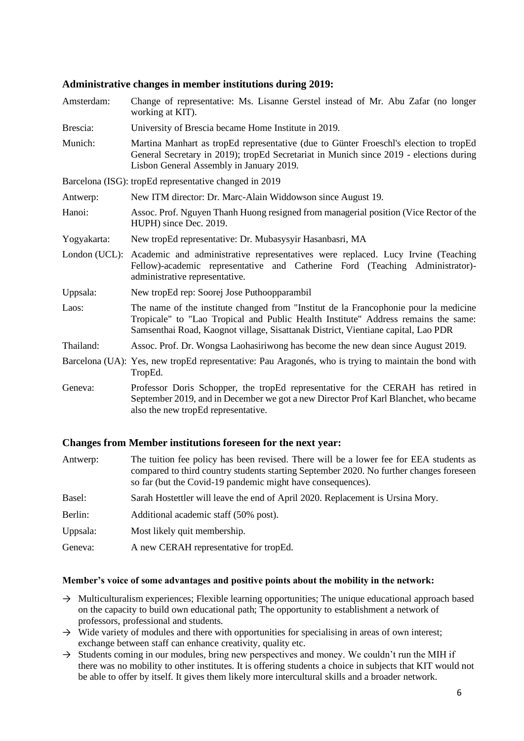#### **Administrative changes in member institutions during 2019:**

| Amsterdam:    | Change of representative: Ms. Lisanne Gerstel instead of Mr. Abu Zafar (no longer<br>working at KIT).                                                                                                                                                            |
|---------------|------------------------------------------------------------------------------------------------------------------------------------------------------------------------------------------------------------------------------------------------------------------|
| Brescia:      | University of Brescia became Home Institute in 2019.                                                                                                                                                                                                             |
| Munich:       | Martina Manhart as tropEd representative (due to Günter Froeschl's election to tropEd<br>General Secretary in 2019); tropEd Secretariat in Munich since 2019 - elections during<br>Lisbon General Assembly in January 2019.                                      |
|               | Barcelona (ISG): tropEd representative changed in 2019                                                                                                                                                                                                           |
| Antwerp:      | New ITM director: Dr. Marc-Alain Widdowson since August 19.                                                                                                                                                                                                      |
| Hanoi:        | Assoc. Prof. Nguyen Thanh Huong resigned from managerial position (Vice Rector of the<br>HUPH) since Dec. 2019.                                                                                                                                                  |
| Yogyakarta:   | New tropEd representative: Dr. Mubasysyir Hasanbasri, MA                                                                                                                                                                                                         |
| London (UCL): | Academic and administrative representatives were replaced. Lucy Irvine (Teaching<br>Fellow)-academic representative and Catherine Ford (Teaching Administrator)-<br>administrative representative.                                                               |
| Uppsala:      | New tropEd rep: Soorej Jose Puthoopparambil                                                                                                                                                                                                                      |
| Laos:         | The name of the institute changed from "Institut de la Francophonie pour la medicine"<br>Tropicale" to "Lao Tropical and Public Health Institute" Address remains the same:<br>Samsenthai Road, Kaognot village, Sisattanak District, Vientiane capital, Lao PDR |
| Thailand:     | Assoc. Prof. Dr. Wongsa Laohasiriwong has become the new dean since August 2019.                                                                                                                                                                                 |
|               | Barcelona (UA): Yes, new tropEd representative: Pau Aragonés, who is trying to maintain the bond with<br>TropEd.                                                                                                                                                 |
| Geneva:       | Professor Doris Schopper, the tropEd representative for the CERAH has retired in<br>September 2019, and in December we got a new Director Prof Karl Blanchet, who became<br>also the new tropEd representative.                                                  |

#### **Changes from Member institutions foreseen for the next year:**

| Antwerp: | The tuition fee policy has been revised. There will be a lower fee for EEA students as<br>compared to third country students starting September 2020. No further changes foreseen<br>so far (but the Covid-19 pandemic might have consequences). |
|----------|--------------------------------------------------------------------------------------------------------------------------------------------------------------------------------------------------------------------------------------------------|
| Basel:   | Sarah Hostettler will leave the end of April 2020. Replacement is Ursina Mory.                                                                                                                                                                   |
| Berlin:  | Additional academic staff (50% post).                                                                                                                                                                                                            |
| Uppsala: | Most likely quit membership.                                                                                                                                                                                                                     |
| Geneva:  | A new CERAH representative for tropEd.                                                                                                                                                                                                           |

#### **Member's voice of some advantages and positive points about the mobility in the network:**

- $\rightarrow$  Multiculturalism experiences; Flexible learning opportunities; The unique educational approach based on the capacity to build own educational path; The opportunity to establishment a network of professors, professional and students.
- $\rightarrow$  Wide variety of modules and there with opportunities for specialising in areas of own interest; exchange between staff can enhance creativity, quality etc.
- $\rightarrow$  Students coming in our modules, bring new perspectives and money. We couldn't run the MIH if there was no mobility to other institutes. It is offering students a choice in subjects that KIT would not be able to offer by itself. It gives them likely more intercultural skills and a broader network.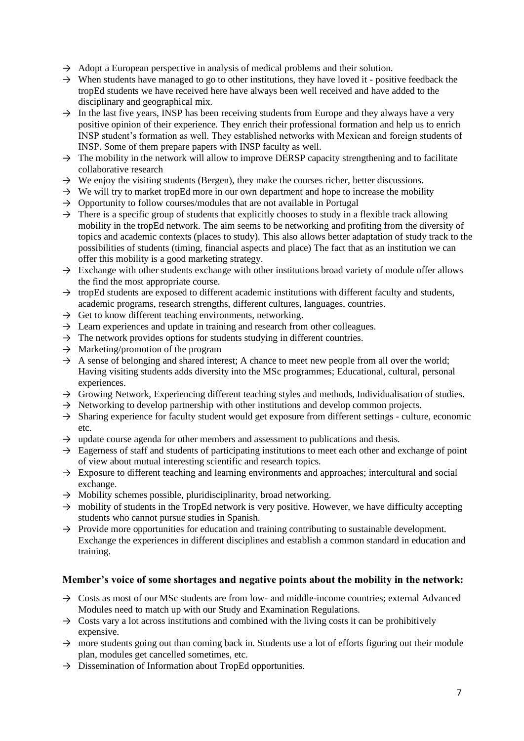- $\rightarrow$  Adopt a European perspective in analysis of medical problems and their solution.
- $\rightarrow$  When students have managed to go to other institutions, they have loved it positive feedback the tropEd students we have received here have always been well received and have added to the disciplinary and geographical mix.
- $\rightarrow$  In the last five years. INSP has been receiving students from Europe and they always have a very positive opinion of their experience. They enrich their professional formation and help us to enrich INSP student's formation as well. They established networks with Mexican and foreign students of INSP. Some of them prepare papers with INSP faculty as well.
- $\rightarrow$  The mobility in the network will allow to improve DERSP capacity strengthening and to facilitate collaborative research
- $\rightarrow$  We enjoy the visiting students (Bergen), they make the courses richer, better discussions.
- $\rightarrow$  We will try to market tropEd more in our own department and hope to increase the mobility
- $\rightarrow$  Opportunity to follow courses/modules that are not available in Portugal
- $\rightarrow$  There is a specific group of students that explicitly chooses to study in a flexible track allowing mobility in the tropEd network. The aim seems to be networking and profiting from the diversity of topics and academic contexts (places to study). This also allows better adaptation of study track to the possibilities of students (timing, financial aspects and place) The fact that as an institution we can offer this mobility is a good marketing strategy.
- $\rightarrow$  Exchange with other students exchange with other institutions broad variety of module offer allows the find the most appropriate course.
- $\rightarrow$  tropEd students are exposed to different academic institutions with different faculty and students, academic programs, research strengths, different cultures, languages, countries.
- $\rightarrow$  Get to know different teaching environments, networking.
- $\rightarrow$  Learn experiences and update in training and research from other colleagues.
- $\rightarrow$  The network provides options for students studying in different countries.
- $\rightarrow$  Marketing/promotion of the program
- $\rightarrow$  A sense of belonging and shared interest; A chance to meet new people from all over the world; Having visiting students adds diversity into the MSc programmes; Educational, cultural, personal experiences.
- $\rightarrow$  Growing Network, Experiencing different teaching styles and methods, Individualisation of studies.
- $\rightarrow$  Networking to develop partnership with other institutions and develop common projects.
- $\rightarrow$  Sharing experience for faculty student would get exposure from different settings culture, economic etc.
- $\rightarrow$  update course agenda for other members and assessment to publications and thesis.
- $\rightarrow$  Eagerness of staff and students of participating institutions to meet each other and exchange of point of view about mutual interesting scientific and research topics.
- $\rightarrow$  Exposure to different teaching and learning environments and approaches; intercultural and social exchange.
- $\rightarrow$  Mobility schemes possible, pluridisciplinarity, broad networking.
- $\rightarrow$  mobility of students in the TropEd network is very positive. However, we have difficulty accepting students who cannot pursue studies in Spanish.
- $\rightarrow$  Provide more opportunities for education and training contributing to sustainable development. Exchange the experiences in different disciplines and establish a common standard in education and training.

#### **Member's voice of some shortages and negative points about the mobility in the network:**

- $\rightarrow$  Costs as most of our MSc students are from low- and middle-income countries; external Advanced Modules need to match up with our Study and Examination Regulations.
- $\rightarrow$  Costs vary a lot across institutions and combined with the living costs it can be prohibitively expensive.
- $\rightarrow$  more students going out than coming back in. Students use a lot of efforts figuring out their module plan, modules get cancelled sometimes, etc.
- $\rightarrow$  Dissemination of Information about TropEd opportunities.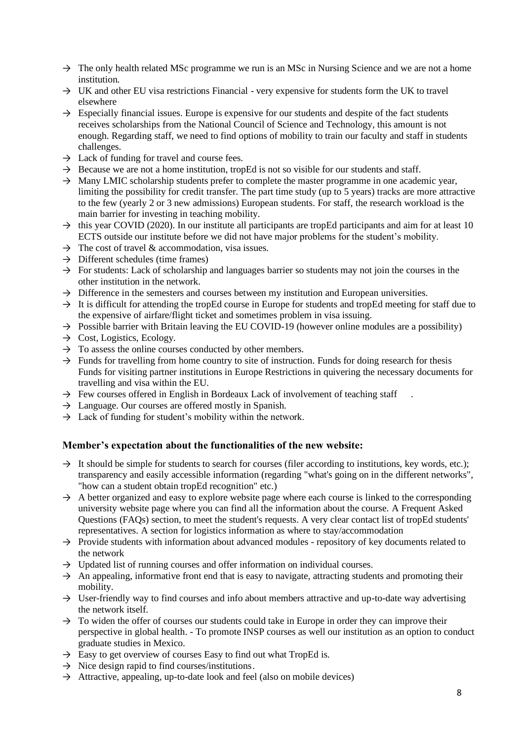- $\rightarrow$  The only health related MSc programme we run is an MSc in Nursing Science and we are not a home institution.
- $\rightarrow$  UK and other EU visa restrictions Financial very expensive for students form the UK to travel elsewhere
- $\rightarrow$  Especially financial issues. Europe is expensive for our students and despite of the fact students receives scholarships from the National Council of Science and Technology, this amount is not enough. Regarding staff, we need to find options of mobility to train our faculty and staff in students challenges.
- $\rightarrow$  Lack of funding for travel and course fees.
- $\rightarrow$  Because we are not a home institution, tropEd is not so visible for our students and staff.
- $\rightarrow$  Many LMIC scholarship students prefer to complete the master programme in one academic year, limiting the possibility for credit transfer. The part time study (up to 5 years) tracks are more attractive to the few (yearly 2 or 3 new admissions) European students. For staff, the research workload is the main barrier for investing in teaching mobility.
- $\rightarrow$  this year COVID (2020). In our institute all participants are tropEd participants and aim for at least 10 ECTS outside our institute before we did not have major problems for the student's mobility.
- $\rightarrow$  The cost of travel & accommodation, visa issues.
- $\rightarrow$  Different schedules (time frames)
- $\rightarrow$  For students: Lack of scholarship and languages barrier so students may not join the courses in the other institution in the network.
- $\rightarrow$  Difference in the semesters and courses between my institution and European universities.
- $\rightarrow$  It is difficult for attending the tropEd course in Europe for students and tropEd meeting for staff due to the expensive of airfare/flight ticket and sometimes problem in visa issuing.
- $\rightarrow$  Possible barrier with Britain leaving the EU COVID-19 (however online modules are a possibility)
- $\rightarrow$  Cost, Logistics, Ecology.
- $\rightarrow$  To assess the online courses conducted by other members.
- $\rightarrow$  Funds for travelling from home country to site of instruction. Funds for doing research for thesis Funds for visiting partner institutions in Europe Restrictions in quivering the necessary documents for travelling and visa within the EU.
- $\rightarrow$  Few courses offered in English in Bordeaux Lack of involvement of teaching staff
- $\rightarrow$  Language. Our courses are offered mostly in Spanish.
- $\rightarrow$  Lack of funding for student's mobility within the network.

#### **Member's expectation about the functionalities of the new website:**

- $\rightarrow$  It should be simple for students to search for courses (filer according to institutions, key words, etc.); transparency and easily accessible information (regarding "what's going on in the different networks", "how can a student obtain tropEd recognition" etc.)
- $\rightarrow$  A better organized and easy to explore website page where each course is linked to the corresponding university website page where you can find all the information about the course. A Frequent Asked Questions (FAQs) section, to meet the student's requests. A very clear contact list of tropEd students' representatives. A section for logistics information as where to stay/accommodation
- $\rightarrow$  Provide students with information about advanced modules repository of key documents related to the network
- $\rightarrow$  Updated list of running courses and offer information on individual courses.
- $\rightarrow$  An appealing, informative front end that is easy to navigate, attracting students and promoting their mobility.
- $\rightarrow$  User-friendly way to find courses and info about members attractive and up-to-date way advertising the network itself.
- $\rightarrow$  To widen the offer of courses our students could take in Europe in order they can improve their perspective in global health. - To promote INSP courses as well our institution as an option to conduct graduate studies in Mexico.
- $\rightarrow$  Easy to get overview of courses Easy to find out what TropEd is.
- $\rightarrow$  Nice design rapid to find courses/institutions.
- $\rightarrow$  Attractive, appealing, up-to-date look and feel (also on mobile devices)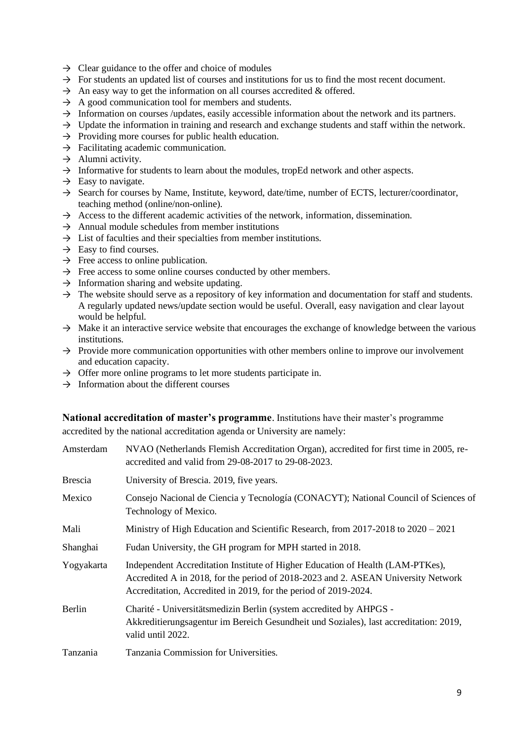- $\rightarrow$  Clear guidance to the offer and choice of modules
- $\rightarrow$  For students an updated list of courses and institutions for us to find the most recent document.
- $\rightarrow$  An easy way to get the information on all courses accredited & offered.
- $\rightarrow$  A good communication tool for members and students.
- $\rightarrow$  Information on courses /updates, easily accessible information about the network and its partners.
- $\rightarrow$  Update the information in training and research and exchange students and staff within the network.
- $\rightarrow$  Providing more courses for public health education.
- $\rightarrow$  Facilitating academic communication.
- $\rightarrow$  Alumni activity.
- $\rightarrow$  Informative for students to learn about the modules, tropEd network and other aspects.
- $\rightarrow$  Easy to navigate.
- $\rightarrow$  Search for courses by Name, Institute, keyword, date/time, number of ECTS, lecturer/coordinator, teaching method (online/non-online).
- $\rightarrow$  Access to the different academic activities of the network, information, dissemination.
- $\rightarrow$  Annual module schedules from member institutions
- $\rightarrow$  List of faculties and their specialties from member institutions.
- $\rightarrow$  Easy to find courses.
- $\rightarrow$  Free access to online publication.
- $\rightarrow$  Free access to some online courses conducted by other members.
- $\rightarrow$  Information sharing and website updating.
- $\rightarrow$  The website should serve as a repository of key information and documentation for staff and students. A regularly updated news/update section would be useful. Overall, easy navigation and clear layout would be helpful.
- $\rightarrow$  Make it an interactive service website that encourages the exchange of knowledge between the various institutions.
- $\rightarrow$  Provide more communication opportunities with other members online to improve our involvement and education capacity.
- $\rightarrow$  Offer more online programs to let more students participate in.
- $\rightarrow$  Information about the different courses

**National accreditation of master's programme**. Institutions have their master's programme accredited by the national accreditation agenda or University are namely:

| Amsterdam      | NVAO (Netherlands Flemish Accreditation Organ), accredited for first time in 2005, re-<br>accredited and valid from 29-08-2017 to 29-08-2023.                                                                                          |
|----------------|----------------------------------------------------------------------------------------------------------------------------------------------------------------------------------------------------------------------------------------|
| <b>Brescia</b> | University of Brescia. 2019, five years.                                                                                                                                                                                               |
| Mexico         | Consejo Nacional de Ciencia y Tecnología (CONACYT); National Council of Sciences of<br>Technology of Mexico.                                                                                                                           |
| Mali           | Ministry of High Education and Scientific Research, from 2017-2018 to 2020 – 2021                                                                                                                                                      |
| Shanghai       | Fudan University, the GH program for MPH started in 2018.                                                                                                                                                                              |
| Yogyakarta     | Independent Accreditation Institute of Higher Education of Health (LAM-PTKes),<br>Accredited A in 2018, for the period of 2018-2023 and 2. ASEAN University Network<br>Accreditation, Accredited in 2019, for the period of 2019-2024. |
| Berlin         | Charité - Universitätsmedizin Berlin (system accredited by AHPGS -<br>Akkreditierungsagentur im Bereich Gesundheit und Soziales), last accreditation: 2019,<br>valid until 2022.                                                       |
| Tanzania       | Tanzania Commission for Universities.                                                                                                                                                                                                  |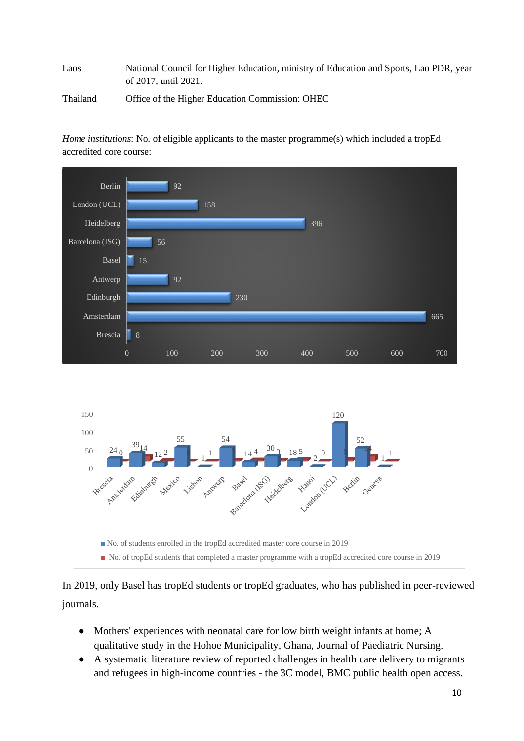Laos National Council for Higher Education, ministry of Education and Sports, Lao PDR, year of 2017, until 2021.

Thailand Office of the Higher Education Commission: OHEC

*Home institutions*: No. of eligible applicants to the master programme(s) which included a tropEd accredited core course:



In 2019, only Basel has tropEd students or tropEd graduates, who has published in peer-reviewed journals.

- Mothers' experiences with neonatal care for low birth weight infants at home; A qualitative study in the Hohoe Municipality, Ghana, Journal of Paediatric Nursing.
- A systematic literature review of reported challenges in health care delivery to migrants and refugees in high-income countries - the 3C model, BMC public health open access.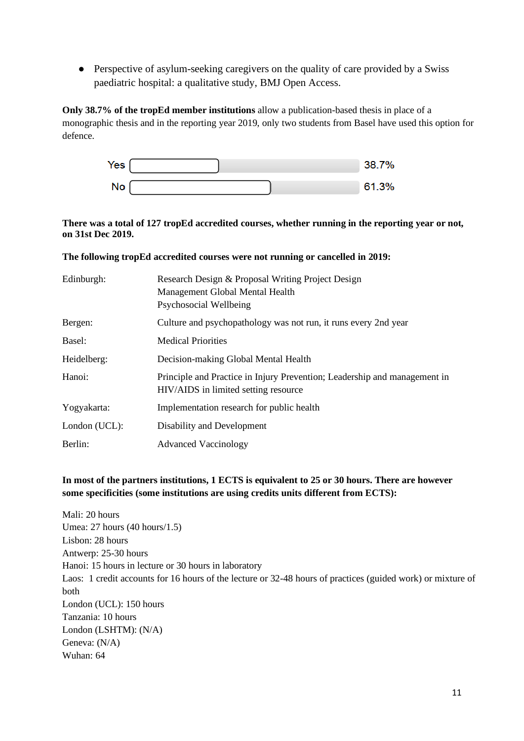• Perspective of asylum-seeking caregivers on the quality of care provided by a Swiss paediatric hospital: a qualitative study, BMJ Open Access.

**Only 38.7% of the tropEd member institutions** allow a publication-based thesis in place of a monographic thesis and in the reporting year 2019, only two students from Basel have used this option for defence.

| Yes |  | 38.7% |
|-----|--|-------|
| No  |  | 61.3% |

#### **There was a total of 127 tropEd accredited courses, whether running in the reporting year or not, on 31st Dec 2019.**

#### **The following tropEd accredited courses were not running or cancelled in 2019:**

| Edinburgh:    | Research Design & Proposal Writing Project Design<br>Management Global Mental Health<br>Psychosocial Wellbeing    |
|---------------|-------------------------------------------------------------------------------------------------------------------|
| Bergen:       | Culture and psychopathology was not run, it runs every 2nd year                                                   |
| Basel:        | <b>Medical Priorities</b>                                                                                         |
| Heidelberg:   | Decision-making Global Mental Health                                                                              |
| Hanoi:        | Principle and Practice in Injury Prevention; Leadership and management in<br>HIV/AIDS in limited setting resource |
| Yogyakarta:   | Implementation research for public health                                                                         |
| London (UCL): | Disability and Development                                                                                        |
| Berlin:       | <b>Advanced Vaccinology</b>                                                                                       |

#### **In most of the partners institutions, 1 ECTS is equivalent to 25 or 30 hours. There are however some specificities (some institutions are using credits units different from ECTS):**

Mali: 20 hours Umea: 27 hours (40 hours/1.5) Lisbon: 28 hours Antwerp: 25-30 hours Hanoi: 15 hours in lecture or 30 hours in laboratory Laos: 1 credit accounts for 16 hours of the lecture or 32-48 hours of practices (guided work) or mixture of both London (UCL): 150 hours Tanzania: 10 hours London (LSHTM): (N/A) Geneva: (N/A) Wuhan: 64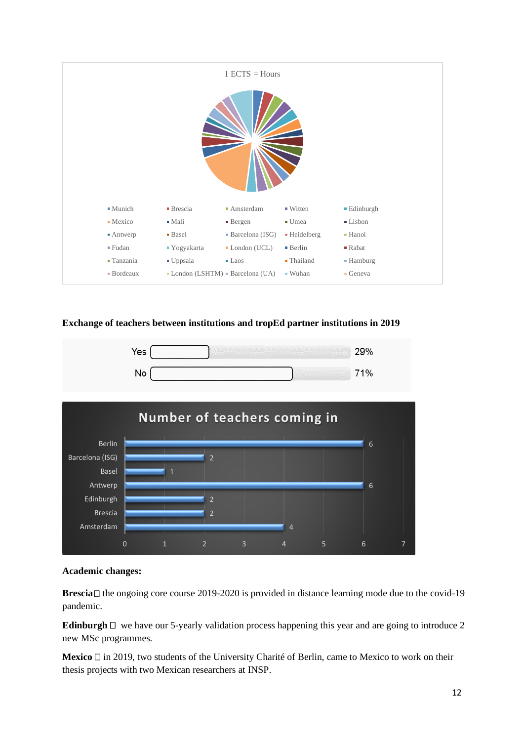

#### **Exchange of teachers between institutions and tropEd partner institutions in 2019**





#### **Academic changes:**

**Brescia**  $\Box$  the ongoing core course 2019-2020 is provided in distance learning mode due to the covid-19 pandemic.

**Edinburgh**  $\Box$  we have our 5-yearly validation process happening this year and are going to introduce 2 new MSc programmes.

**Mexico**  $\Box$  in 2019, two students of the University Charité of Berlin, came to Mexico to work on their thesis projects with two Mexican researchers at INSP.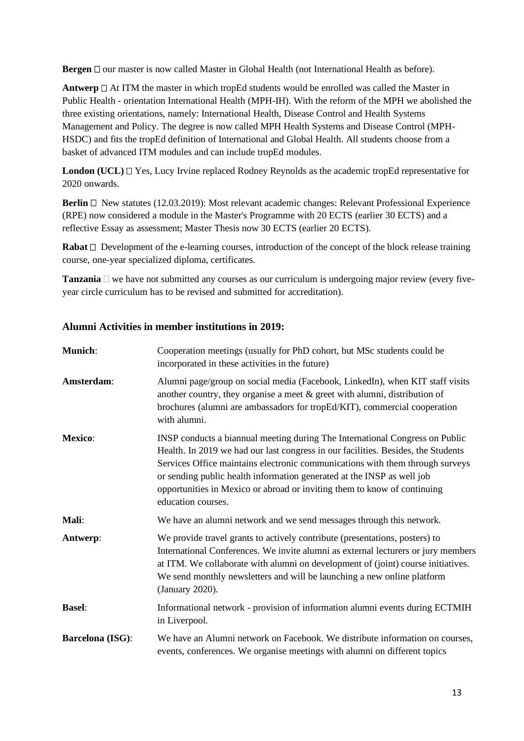**Bergen**  $\Box$  our master is now called Master in Global Health (not International Health as before).

**Antwerp**  $\Box$  At ITM the master in which tropEd students would be enrolled was called the Master in Public Health - orientation International Health (MPH-IH). With the reform of the MPH we abolished the three existing orientations, namely: International Health, Disease Control and Health Systems Management and Policy. The degree is now called MPH Health Systems and Disease Control (MPH-HSDC) and fits the tropEd definition of International and Global Health. All students choose from a basket of advanced ITM modules and can include tropEd modules.

**London (UCL)**  $\Box$  Yes, Lucy Irvine replaced Rodney Reynolds as the academic tropEd representative for 2020 onwards.

**Berlin** □ New statutes (12.03.2019): Most relevant academic changes: Relevant Professional Experience (RPE) now considered a module in the Master's Programme with 20 ECTS (earlier 30 ECTS) and a reflective Essay as assessment; Master Thesis now 30 ECTS (earlier 20 ECTS).

**Rabat**  $\Box$  Development of the e-learning courses, introduction of the concept of the block release training course, one-year specialized diploma, certificates.

**Tanzania**  $\Box$  we have not submitted any courses as our curriculum is undergoing major review (every fiveyear circle curriculum has to be revised and submitted for accreditation).

#### **Alumni Activities in member institutions in 2019:**

| <b>Munich:</b>          | Cooperation meetings (usually for PhD cohort, but MSc students could be<br>incorporated in these activities in the future)                                                                                                                                                                                                                                                                                                     |
|-------------------------|--------------------------------------------------------------------------------------------------------------------------------------------------------------------------------------------------------------------------------------------------------------------------------------------------------------------------------------------------------------------------------------------------------------------------------|
| Amsterdam:              | Alumni page/group on social media (Facebook, LinkedIn), when KIT staff visits<br>another country, they organise a meet $\&$ greet with alumni, distribution of<br>brochures (alumni are ambassadors for tropEd/KIT), commercial cooperation<br>with alumni.                                                                                                                                                                    |
| <b>Mexico:</b>          | INSP conducts a biannual meeting during The International Congress on Public<br>Health. In 2019 we had our last congress in our facilities. Besides, the Students<br>Services Office maintains electronic communications with them through surveys<br>or sending public health information generated at the INSP as well job<br>opportunities in Mexico or abroad or inviting them to know of continuing<br>education courses. |
| Mali:                   | We have an alumni network and we send messages through this network.                                                                                                                                                                                                                                                                                                                                                           |
| Antwerp:                | We provide travel grants to actively contribute (presentations, posters) to<br>International Conferences. We invite alumni as external lecturers or jury members<br>at ITM. We collaborate with alumni on development of (joint) course initiatives.<br>We send monthly newsletters and will be launching a new online platform<br>(January 2020).                                                                             |
| <b>Basel:</b>           | Informational network - provision of information alumni events during ECTMIH<br>in Liverpool.                                                                                                                                                                                                                                                                                                                                  |
| <b>Barcelona</b> (ISG): | We have an Alumni network on Facebook. We distribute information on courses,<br>events, conferences. We organise meetings with alumni on different topics                                                                                                                                                                                                                                                                      |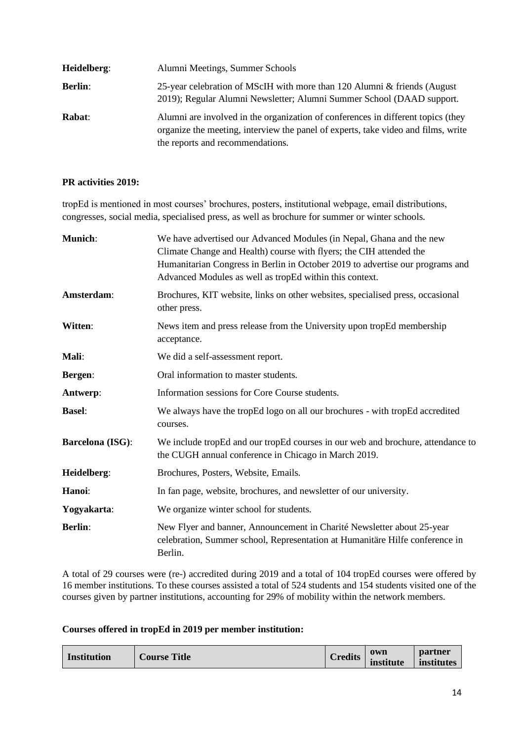| Heidelberg:    | Alumni Meetings, Summer Schools                                                                                                                                                                           |
|----------------|-----------------------------------------------------------------------------------------------------------------------------------------------------------------------------------------------------------|
| <b>Berlin:</b> | 25-year celebration of MScIH with more than 120 Alumni & friends (August)<br>2019); Regular Alumni Newsletter; Alumni Summer School (DAAD support.                                                        |
| Rabat:         | Alumni are involved in the organization of conferences in different topics (they<br>organize the meeting, interview the panel of experts, take video and films, write<br>the reports and recommendations. |

#### **PR activities 2019:**

tropEd is mentioned in most courses' brochures, posters, institutional webpage, email distributions, congresses, social media, specialised press, as well as brochure for summer or winter schools.

| <b>Munich:</b>          | We have advertised our Advanced Modules (in Nepal, Ghana and the new<br>Climate Change and Health) course with flyers; the CIH attended the<br>Humanitarian Congress in Berlin in October 2019 to advertise our programs and<br>Advanced Modules as well as tropEd within this context. |
|-------------------------|-----------------------------------------------------------------------------------------------------------------------------------------------------------------------------------------------------------------------------------------------------------------------------------------|
| Amsterdam:              | Brochures, KIT website, links on other websites, specialised press, occasional<br>other press.                                                                                                                                                                                          |
| Witten:                 | News item and press release from the University upon tropEd membership<br>acceptance.                                                                                                                                                                                                   |
| Mali:                   | We did a self-assessment report.                                                                                                                                                                                                                                                        |
| <b>Bergen:</b>          | Oral information to master students.                                                                                                                                                                                                                                                    |
| Antwerp:                | Information sessions for Core Course students.                                                                                                                                                                                                                                          |
| <b>Basel:</b>           | We always have the tropEd logo on all our brochures - with tropEd accredited<br>courses.                                                                                                                                                                                                |
| <b>Barcelona</b> (ISG): | We include tropEd and our tropEd courses in our web and brochure, attendance to<br>the CUGH annual conference in Chicago in March 2019.                                                                                                                                                 |
| Heidelberg:             | Brochures, Posters, Website, Emails.                                                                                                                                                                                                                                                    |
| Hanoi:                  | In fan page, website, brochures, and newsletter of our university.                                                                                                                                                                                                                      |
| Yogyakarta:             | We organize winter school for students.                                                                                                                                                                                                                                                 |
| <b>Berlin:</b>          | New Flyer and banner, Announcement in Charité Newsletter about 25-year<br>celebration, Summer school, Representation at Humanitäre Hilfe conference in<br>Berlin.                                                                                                                       |

A total of 29 courses were (re-) accredited during 2019 and a total of 104 tropEd courses were offered by 16 member institutions. To these courses assisted a total of 524 students and 154 students visited one of the courses given by partner institutions, accounting for 29% of mobility within the network members.

#### **Courses offered in tropEd in 2019 per member institution:**

| <b>Institution</b> | $\sim$<br><b>Course Title</b> | Credits | own<br>institute | partner<br>institutes |
|--------------------|-------------------------------|---------|------------------|-----------------------|
|--------------------|-------------------------------|---------|------------------|-----------------------|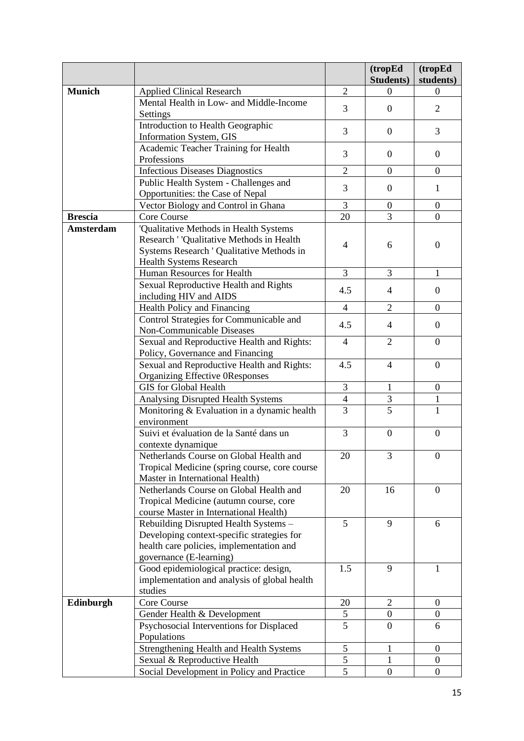|                  |                                                                                                                                                            |                | (tropEd          | (tropEd          |
|------------------|------------------------------------------------------------------------------------------------------------------------------------------------------------|----------------|------------------|------------------|
|                  |                                                                                                                                                            |                | <b>Students)</b> | students)        |
| <b>Munich</b>    | <b>Applied Clinical Research</b>                                                                                                                           | $\overline{2}$ | $\Omega$         | $\Omega$         |
|                  | Mental Health in Low- and Middle-Income<br>Settings                                                                                                        | 3              | $\boldsymbol{0}$ | 2                |
|                  | Introduction to Health Geographic<br>Information System, GIS                                                                                               | 3              | $\boldsymbol{0}$ | 3                |
|                  | Academic Teacher Training for Health<br>Professions                                                                                                        | 3              | $\boldsymbol{0}$ | $\mathbf{0}$     |
|                  | <b>Infectious Diseases Diagnostics</b>                                                                                                                     | $\overline{2}$ | $\boldsymbol{0}$ | $\overline{0}$   |
|                  | Public Health System - Challenges and<br>Opportunities: the Case of Nepal                                                                                  | 3              | $\overline{0}$   | $\mathbf{1}$     |
|                  | Vector Biology and Control in Ghana                                                                                                                        | 3              | $\boldsymbol{0}$ | $\boldsymbol{0}$ |
| <b>Brescia</b>   | Core Course                                                                                                                                                | 20             | 3                | $\overline{0}$   |
| <b>Amsterdam</b> | 'Qualitative Methods in Health Systems                                                                                                                     |                |                  |                  |
|                  | Research ' 'Qualitative Methods in Health<br>Systems Research ' Qualitative Methods in<br>Health Systems Research                                          | $\overline{4}$ | 6                | $\overline{0}$   |
|                  | Human Resources for Health                                                                                                                                 | 3              | 3                | 1                |
|                  | Sexual Reproductive Health and Rights<br>including HIV and AIDS                                                                                            | 4.5            | $\overline{4}$   | $\mathbf{0}$     |
|                  | Health Policy and Financing                                                                                                                                | $\overline{4}$ | $\overline{2}$   | $\mathbf{0}$     |
|                  | Control Strategies for Communicable and                                                                                                                    |                |                  |                  |
|                  | Non-Communicable Diseases                                                                                                                                  | 4.5            | $\overline{4}$   | $\overline{0}$   |
|                  | Sexual and Reproductive Health and Rights:<br>Policy, Governance and Financing                                                                             | $\overline{4}$ | $\overline{2}$   | $\overline{0}$   |
|                  | Sexual and Reproductive Health and Rights:<br>Organizing Effective 0Responses                                                                              | 4.5            | $\overline{4}$   | $\overline{0}$   |
|                  | <b>GIS</b> for Global Health                                                                                                                               | 3              | $\mathbf{1}$     | $\boldsymbol{0}$ |
|                  | Analysing Disrupted Health Systems                                                                                                                         | $\overline{4}$ | 3                | $\mathbf{1}$     |
|                  | Monitoring & Evaluation in a dynamic health<br>environment                                                                                                 | $\overline{3}$ | $\overline{5}$   | $\mathbf{1}$     |
|                  | Suivi et évaluation de la Santé dans un<br>contexte dynamique                                                                                              | 3              | $\overline{0}$   | $\overline{0}$   |
|                  | Netherlands Course on Global Health and<br>Tropical Medicine (spring course, core course<br>Master in International Health)                                | 20             | 3                | $\overline{0}$   |
|                  | Netherlands Course on Global Health and<br>Tropical Medicine (autumn course, core<br>course Master in International Health)                                | 20             | 16               | $\mathbf{0}$     |
|                  | Rebuilding Disrupted Health Systems -<br>Developing context-specific strategies for<br>health care policies, implementation and<br>governance (E-learning) | 5              | 9                | 6                |
|                  | Good epidemiological practice: design,<br>implementation and analysis of global health<br>studies                                                          | 1.5            | 9                | 1                |
| Edinburgh        | Core Course                                                                                                                                                | 20             | $\overline{2}$   | $\overline{0}$   |
|                  | Gender Health & Development                                                                                                                                | 5              | $\boldsymbol{0}$ | $\overline{0}$   |
|                  | Psychosocial Interventions for Displaced<br>Populations                                                                                                    | 5              | $\overline{0}$   | 6                |
|                  | Strengthening Health and Health Systems                                                                                                                    | $\mathfrak s$  | 1                | $\overline{0}$   |
|                  | Sexual & Reproductive Health                                                                                                                               | 5              | 1                | $\boldsymbol{0}$ |
|                  | Social Development in Policy and Practice                                                                                                                  | 5              | $\boldsymbol{0}$ | $\boldsymbol{0}$ |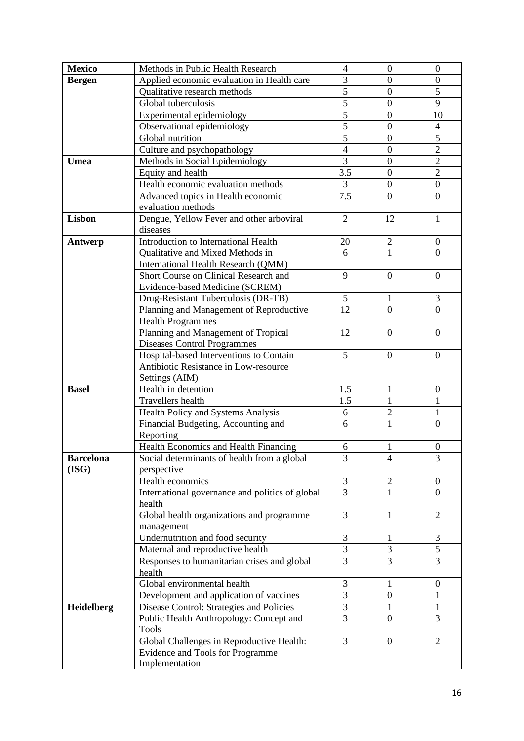| <b>Mexico</b>    | Methods in Public Health Research               | $\overline{4}$ | $\boldsymbol{0}$ | $\boldsymbol{0}$ |
|------------------|-------------------------------------------------|----------------|------------------|------------------|
| <b>Bergen</b>    | Applied economic evaluation in Health care      | 3              | $\overline{0}$   | $\boldsymbol{0}$ |
|                  | Qualitative research methods                    | $\overline{5}$ | $\boldsymbol{0}$ | 5                |
|                  | Global tuberculosis                             | $\overline{5}$ | $\boldsymbol{0}$ | 9                |
|                  | Experimental epidemiology                       | $\overline{5}$ | $\boldsymbol{0}$ | 10               |
|                  | Observational epidemiology                      | $\overline{5}$ | $\boldsymbol{0}$ | $\overline{4}$   |
|                  | Global nutrition                                | $\overline{5}$ | $\overline{0}$   | $\overline{5}$   |
|                  | Culture and psychopathology                     | $\overline{4}$ | $\overline{0}$   | $\overline{2}$   |
| Umea             | Methods in Social Epidemiology                  | $\overline{3}$ | $\overline{0}$   | $\overline{2}$   |
|                  | Equity and health                               | 3.5            | $\overline{0}$   | $\overline{2}$   |
|                  | Health economic evaluation methods              | 3              | $\boldsymbol{0}$ | $\boldsymbol{0}$ |
|                  | Advanced topics in Health economic              | 7.5            | $\overline{0}$   | $\overline{0}$   |
|                  | evaluation methods                              |                |                  |                  |
| <b>Lisbon</b>    | Dengue, Yellow Fever and other arboviral        | $\overline{2}$ | 12               | 1                |
|                  | diseases                                        |                |                  |                  |
| Antwerp          | Introduction to International Health            | 20             | $\overline{c}$   | $\boldsymbol{0}$ |
|                  | Qualitative and Mixed Methods in                | 6              | $\overline{1}$   | $\overline{0}$   |
|                  | International Health Research (QMM)             |                |                  |                  |
|                  | Short Course on Clinical Research and           | 9              | $\overline{0}$   | $\boldsymbol{0}$ |
|                  | Evidence-based Medicine (SCREM)                 |                |                  |                  |
|                  | Drug-Resistant Tuberculosis (DR-TB)             | 5              | $\mathbf{1}$     | 3                |
|                  | Planning and Management of Reproductive         | 12             | $\overline{0}$   | $\overline{0}$   |
|                  | <b>Health Programmes</b>                        |                |                  |                  |
|                  | Planning and Management of Tropical             | 12             | $\overline{0}$   | $\overline{0}$   |
|                  | <b>Diseases Control Programmes</b>              |                |                  |                  |
|                  | Hospital-based Interventions to Contain         | 5              | $\boldsymbol{0}$ | $\boldsymbol{0}$ |
|                  | Antibiotic Resistance in Low-resource           |                |                  |                  |
|                  | Settings (AIM)                                  |                |                  |                  |
| <b>Basel</b>     | Health in detention                             | 1.5            | $\mathbf{1}$     | $\boldsymbol{0}$ |
|                  | Travellers health                               | 1.5            | $\mathbf{1}$     | $\mathbf{1}$     |
|                  | Health Policy and Systems Analysis              | 6              | $\overline{2}$   | $\mathbf{1}$     |
|                  | Financial Budgeting, Accounting and             | 6              | 1                | $\boldsymbol{0}$ |
|                  | Reporting                                       |                |                  |                  |
|                  | Health Economics and Health Financing           | 6              | $\mathbf{1}$     | $\boldsymbol{0}$ |
| <b>Barcelona</b> | Social determinants of health from a global     | 3              | 4                | 3                |
| (ISG)            | perspective                                     |                |                  |                  |
|                  | Health economics                                | 3<br>3         | $\overline{2}$   | $\boldsymbol{0}$ |
|                  | International governance and politics of global |                | $\mathbf{1}$     | $\Omega$         |
|                  | health                                          | 3              |                  | $\overline{2}$   |
|                  | Global health organizations and programme       |                | 1                |                  |
|                  | management<br>Undernutrition and food security  | 3              | 1                | $\mathfrak{Z}$   |
|                  | Maternal and reproductive health                | 3              | 3                | $\mathfrak{S}$   |
|                  | Responses to humanitarian crises and global     | 3              | 3                | $\overline{3}$   |
|                  | health                                          |                |                  |                  |
|                  | Global environmental health                     | 3              | 1                | $\boldsymbol{0}$ |
|                  | Development and application of vaccines         | 3              | $\boldsymbol{0}$ | $\mathbf{1}$     |
| Heidelberg       | Disease Control: Strategies and Policies        | 3              | 1                | $\mathbf{1}$     |
|                  | Public Health Anthropology: Concept and         | 3              | $\overline{0}$   | 3                |
|                  | <b>Tools</b>                                    |                |                  |                  |
|                  | Global Challenges in Reproductive Health:       | 3              | $\overline{0}$   | $\overline{2}$   |
|                  | Evidence and Tools for Programme                |                |                  |                  |
|                  | Implementation                                  |                |                  |                  |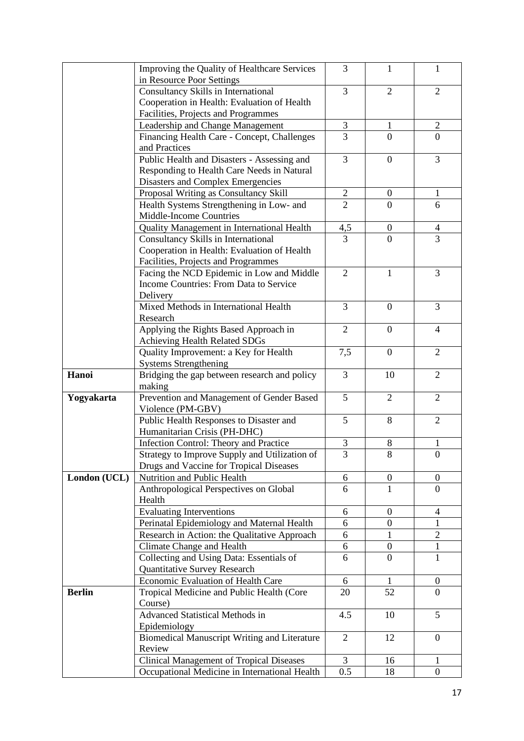|               | Improving the Quality of Healthcare Services<br>in Resource Poor Settings | 3               | 1                | 1                |
|---------------|---------------------------------------------------------------------------|-----------------|------------------|------------------|
|               | Consultancy Skills in International                                       | 3               | $\overline{2}$   | $\overline{2}$   |
|               | Cooperation in Health: Evaluation of Health                               |                 |                  |                  |
|               | Facilities, Projects and Programmes                                       |                 |                  |                  |
|               | Leadership and Change Management                                          | 3               | $\mathbf{1}$     | $\mathfrak{2}$   |
|               | Financing Health Care - Concept, Challenges                               | 3               | $\overline{0}$   | $\mathbf{0}$     |
|               | and Practices                                                             |                 |                  |                  |
|               | Public Health and Disasters - Assessing and                               | $\overline{3}$  | $\boldsymbol{0}$ | 3                |
|               | Responding to Health Care Needs in Natural                                |                 |                  |                  |
|               | Disasters and Complex Emergencies                                         |                 |                  |                  |
|               | Proposal Writing as Consultancy Skill                                     | $\overline{2}$  | $\boldsymbol{0}$ | $\mathbf{1}$     |
|               | Health Systems Strengthening in Low- and                                  | $\overline{2}$  | $\Omega$         | 6                |
|               | Middle-Income Countries                                                   |                 |                  |                  |
|               | Quality Management in International Health                                | 4,5             | $\boldsymbol{0}$ | 4                |
|               | Consultancy Skills in International                                       | $\overline{3}$  | $\theta$         | $\overline{3}$   |
|               | Cooperation in Health: Evaluation of Health                               |                 |                  |                  |
|               | Facilities, Projects and Programmes                                       |                 |                  |                  |
|               | Facing the NCD Epidemic in Low and Middle                                 | $\overline{2}$  | $\mathbf{1}$     | 3                |
|               | Income Countries: From Data to Service                                    |                 |                  |                  |
|               | Delivery                                                                  |                 |                  |                  |
|               | Mixed Methods in International Health                                     | 3               | $\boldsymbol{0}$ | 3                |
|               | Research                                                                  |                 |                  |                  |
|               | Applying the Rights Based Approach in                                     | $\overline{2}$  | $\boldsymbol{0}$ | 4                |
|               | Achieving Health Related SDGs                                             |                 |                  |                  |
|               | Quality Improvement: a Key for Health<br><b>Systems Strengthening</b>     | 7,5             | $\boldsymbol{0}$ | $\overline{2}$   |
| Hanoi         | Bridging the gap between research and policy                              | 3               | 10               | $\overline{2}$   |
|               | making                                                                    |                 |                  |                  |
| Yogyakarta    | Prevention and Management of Gender Based                                 | 5               | $\overline{2}$   | $\overline{2}$   |
|               | Violence (PM-GBV)                                                         |                 |                  |                  |
|               | Public Health Responses to Disaster and                                   | $5\overline{)}$ | 8                | $\overline{2}$   |
|               | Humanitarian Crisis (PH-DHC)                                              |                 |                  |                  |
|               | Infection Control: Theory and Practice                                    | 3               | 8                | 1                |
|               | Strategy to Improve Supply and Utilization of                             | 3               | 8                | $\overline{0}$   |
|               | Drugs and Vaccine for Tropical Diseases                                   |                 |                  |                  |
| London (UCL)  | Nutrition and Public Health                                               | 6               | $\overline{0}$   | $\mathbf{0}$     |
|               | Anthropological Perspectives on Global                                    | 6               | 1                | $\mathbf{0}$     |
|               | Health                                                                    |                 |                  |                  |
|               | <b>Evaluating Interventions</b>                                           | 6               | $\overline{0}$   | 4                |
|               | Perinatal Epidemiology and Maternal Health                                | 6               | $\mathbf{0}$     | 1                |
|               | Research in Action: the Qualitative Approach                              | 6               | 1                | $\overline{2}$   |
|               | Climate Change and Health                                                 | 6               | $\boldsymbol{0}$ | $\mathbf{1}$     |
|               | Collecting and Using Data: Essentials of                                  | 6               | 0                | $\mathbf{1}$     |
|               | Quantitative Survey Research                                              |                 |                  |                  |
|               | Economic Evaluation of Health Care                                        | 6               | 1.               | $\boldsymbol{0}$ |
| <b>Berlin</b> | Tropical Medicine and Public Health (Core                                 | 20              | 52               | $\Omega$         |
|               | Course)                                                                   |                 |                  |                  |
|               | <b>Advanced Statistical Methods in</b>                                    | 4.5             | 10               | 5                |
|               | Epidemiology                                                              |                 |                  |                  |
|               | <b>Biomedical Manuscript Writing and Literature</b><br>Review             | 2               | 12               | $\mathbf{0}$     |
|               | <b>Clinical Management of Tropical Diseases</b>                           | 3               | 16               | 1                |
|               | Occupational Medicine in International Health                             | 0.5             | 18               | $\overline{0}$   |
|               |                                                                           |                 |                  |                  |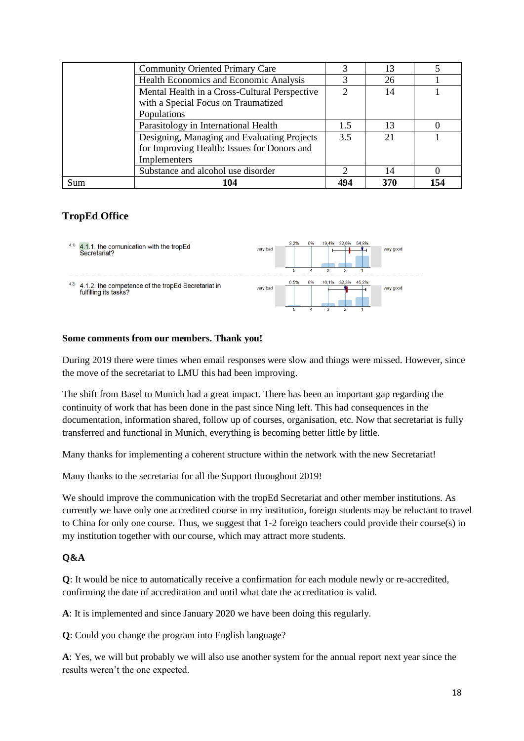|     | <b>Community Oriented Primary Care</b>        |     | 13  |     |
|-----|-----------------------------------------------|-----|-----|-----|
|     | Health Economics and Economic Analysis        |     | 26  |     |
|     | Mental Health in a Cross-Cultural Perspective |     | 14  |     |
|     | with a Special Focus on Traumatized           |     |     |     |
|     | Populations                                   |     |     |     |
|     | Parasitology in International Health          | 15  | 13  |     |
|     | Designing, Managing and Evaluating Projects   | 35  | 21  |     |
|     | for Improving Health: Issues for Donors and   |     |     |     |
|     | Implementers                                  |     |     |     |
|     | Substance and alcohol use disorder            |     | 14  |     |
| Sum |                                               | 494 | 370 | 154 |

### **TropEd Office**



#### **Some comments from our members. Thank you!**

During 2019 there were times when email responses were slow and things were missed. However, since the move of the secretariat to LMU this had been improving.

The shift from Basel to Munich had a great impact. There has been an important gap regarding the continuity of work that has been done in the past since Ning left. This had consequences in the documentation, information shared, follow up of courses, organisation, etc. Now that secretariat is fully transferred and functional in Munich, everything is becoming better little by little.

Many thanks for implementing a coherent structure within the network with the new Secretariat!

Many thanks to the secretariat for all the Support throughout 2019!

We should improve the communication with the tropEd Secretariat and other member institutions. As currently we have only one accredited course in my institution, foreign students may be reluctant to travel to China for only one course. Thus, we suggest that 1-2 foreign teachers could provide their course(s) in my institution together with our course, which may attract more students.

#### **Q&A**

**Q**: It would be nice to automatically receive a confirmation for each module newly or re-accredited, confirming the date of accreditation and until what date the accreditation is valid.

**A**: It is implemented and since January 2020 we have been doing this regularly.

**Q**: Could you change the program into English language?

**A**: Yes, we will but probably we will also use another system for the annual report next year since the results weren't the one expected.